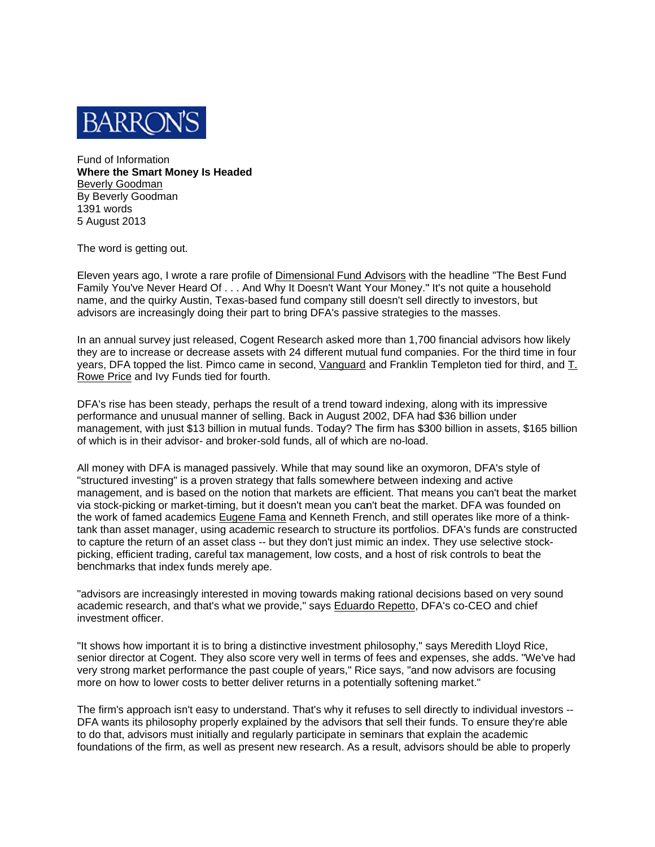

Fund of Information Where the Smart Money Is Headed **Beverly Goodman** By Beverly Goodman 1391 words 5 August 2013

The word is getting out.

Eleven years ago, I wrote a rare profile of Dimensional Fund Advisors with the headline "The Best Fund Family You've Never Heard Of . . . And Why It Doesn't Want Your Money." It's not quite a household name, and the quirky Austin, Texas-based fund company still doesn't sell directly to investors, but advisors are increasingly doing their part to bring DFA's passive strategies to the masses.

In an annual survey just released, Cogent Research asked more than 1,700 financial advisors how likely they are to increase or decrease assets with 24 different mutual fund companies. For the third time in four years, DFA topped the list. Pimco came in second, Vanguard and Franklin Templeton tied for third, and T. Rowe Price and Ivy Funds tied for fourth.

DFA's rise has been steady, perhaps the result of a trend toward indexing, along with its impressive performance and unusual manner of selling. Back in August 2002, DFA had \$36 billion under management, with just \$13 billion in mutual funds. Today? The firm has \$300 billion in assets, \$165 billion of which is in their advisor- and broker-sold funds, all of which are no-load.

All money with DFA is managed passively. While that may sound like an oxymoron, DFA's style of "structured investing" is a proven strategy that falls somewhere between indexing and active management, and is based on the notion that markets are efficient. That means you can't beat the market via stock-picking or market-timing, but it doesn't mean you can't beat the market. DFA was founded on the work of famed academics Eugene Fama and Kenneth French, and still operates like more of a thinktank than asset manager, using academic research to structure its portfolios. DFA's funds are constructed to capture the return of an asset class -- but they don't just mimic an index. They use selective stockpicking, efficient trading, careful tax management, low costs, and a host of risk controls to beat the benchmarks that index funds merely ape.

"advisors are increasingly interested in moving towards making rational decisions based on very sound academic research, and that's what we provide," says Eduardo Repetto, DFA's co-CEO and chief investment officer.

"It shows how important it is to bring a distinctive investment philosophy," says Meredith Lloyd Rice, senior director at Cogent. They also score very well in terms of fees and expenses, she adds. "We've had very strong market performance the past couple of years," Rice says, "and now advisors are focusing more on how to lower costs to better deliver returns in a potentially softening market."

The firm's approach isn't easy to understand. That's why it refuses to sell directly to individual investors --DFA wants its philosophy properly explained by the advisors that sell their funds. To ensure they're able to do that, advisors must initially and regularly participate in seminars that explain the academic foundations of the firm, as well as present new research. As a result, advisors should be able to properly